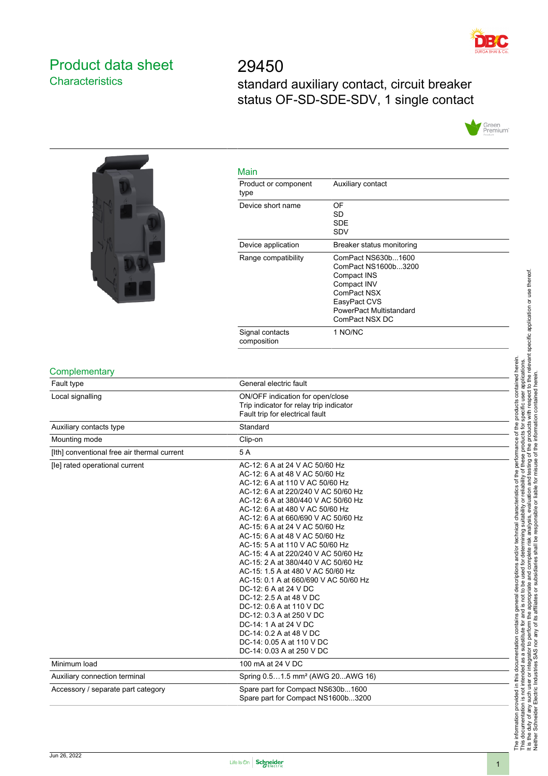

## <span id="page-0-0"></span>Product data sheet **Characteristics**

29450 standard auxiliary contact, circuit breaker status OF-SD-SDE-SDV, 1 single contact



|                                             | Main                                                                                                                                                                                                                                                                                                                                                                                                                                                                                                                                                                                                                                                                                                                                                     |                                                                                                                                                     |  |
|---------------------------------------------|----------------------------------------------------------------------------------------------------------------------------------------------------------------------------------------------------------------------------------------------------------------------------------------------------------------------------------------------------------------------------------------------------------------------------------------------------------------------------------------------------------------------------------------------------------------------------------------------------------------------------------------------------------------------------------------------------------------------------------------------------------|-----------------------------------------------------------------------------------------------------------------------------------------------------|--|
|                                             | Product or component<br>type                                                                                                                                                                                                                                                                                                                                                                                                                                                                                                                                                                                                                                                                                                                             | Auxiliary contact                                                                                                                                   |  |
|                                             | Device short name                                                                                                                                                                                                                                                                                                                                                                                                                                                                                                                                                                                                                                                                                                                                        | OF<br><b>SD</b><br><b>SDE</b>                                                                                                                       |  |
|                                             |                                                                                                                                                                                                                                                                                                                                                                                                                                                                                                                                                                                                                                                                                                                                                          | SDV                                                                                                                                                 |  |
|                                             | Device application                                                                                                                                                                                                                                                                                                                                                                                                                                                                                                                                                                                                                                                                                                                                       | Breaker status monitoring                                                                                                                           |  |
|                                             | Range compatibility                                                                                                                                                                                                                                                                                                                                                                                                                                                                                                                                                                                                                                                                                                                                      | ComPact NS630b1600<br>ComPact NS1600b3200<br>Compact INS<br>Compact INV<br>ComPact NSX<br>EasyPact CVS<br>PowerPact Multistandard<br>ComPact NSX DC |  |
|                                             | Signal contacts<br>composition                                                                                                                                                                                                                                                                                                                                                                                                                                                                                                                                                                                                                                                                                                                           | 1 NO/NC                                                                                                                                             |  |
| Complementary                               |                                                                                                                                                                                                                                                                                                                                                                                                                                                                                                                                                                                                                                                                                                                                                          |                                                                                                                                                     |  |
| Fault type                                  | General electric fault                                                                                                                                                                                                                                                                                                                                                                                                                                                                                                                                                                                                                                                                                                                                   |                                                                                                                                                     |  |
| Local signalling                            | ON/OFF indication for open/close<br>Trip indicator for relay trip indicator<br>Fault trip for electrical fault                                                                                                                                                                                                                                                                                                                                                                                                                                                                                                                                                                                                                                           |                                                                                                                                                     |  |
| Auxiliary contacts type                     | Standard                                                                                                                                                                                                                                                                                                                                                                                                                                                                                                                                                                                                                                                                                                                                                 |                                                                                                                                                     |  |
| Mounting mode                               | Clip-on                                                                                                                                                                                                                                                                                                                                                                                                                                                                                                                                                                                                                                                                                                                                                  |                                                                                                                                                     |  |
| [Ith] conventional free air thermal current | 5A                                                                                                                                                                                                                                                                                                                                                                                                                                                                                                                                                                                                                                                                                                                                                       |                                                                                                                                                     |  |
| [le] rated operational current              | AC-12: 6 A at 24 V AC 50/60 Hz<br>AC-12: 6 A at 48 V AC 50/60 Hz<br>AC-12: 6 A at 110 V AC 50/60 Hz<br>AC-12: 6 A at 220/240 V AC 50/60 Hz<br>AC-12: 6 A at 380/440 V AC 50/60 Hz<br>AC-12: 6 A at 480 V AC 50/60 Hz<br>AC-12: 6 A at 660/690 V AC 50/60 Hz<br>AC-15: 6 A at 24 V AC 50/60 Hz<br>AC-15: 6 A at 48 V AC 50/60 Hz<br>AC-15: 5 A at 110 V AC 50/60 Hz<br>AC-15: 4 A at 220/240 V AC 50/60 Hz<br>AC-15: 2 A at 380/440 V AC 50/60 Hz<br>AC-15: 1.5 A at 480 V AC 50/60 Hz<br>AC-15: 0.1 A at 660/690 V AC 50/60 Hz<br>DC-12: 6 A at 24 V DC<br>DC-12: 2.5 A at 48 V DC<br>DC-12: 0.6 A at 110 V DC<br>DC-12: 0.3 A at 250 V DC<br>DC-14: 1 A at 24 V DC<br>DC-14: 0.2 A at 48 V DC<br>DC-14: 0.05 A at 110 V DC<br>DC-14: 0.03 A at 250 V DC |                                                                                                                                                     |  |
| Minimum load                                | 100 mA at 24 V DC                                                                                                                                                                                                                                                                                                                                                                                                                                                                                                                                                                                                                                                                                                                                        |                                                                                                                                                     |  |
| Auxiliary connection terminal               | Spring 0.51.5 mm <sup>2</sup> (AWG 20AWG 16)                                                                                                                                                                                                                                                                                                                                                                                                                                                                                                                                                                                                                                                                                                             |                                                                                                                                                     |  |
| Accessory / separate part category          | Spare part for Compact NS630b1600<br>Spare part for Compact NS1600b3200                                                                                                                                                                                                                                                                                                                                                                                                                                                                                                                                                                                                                                                                                  |                                                                                                                                                     |  |